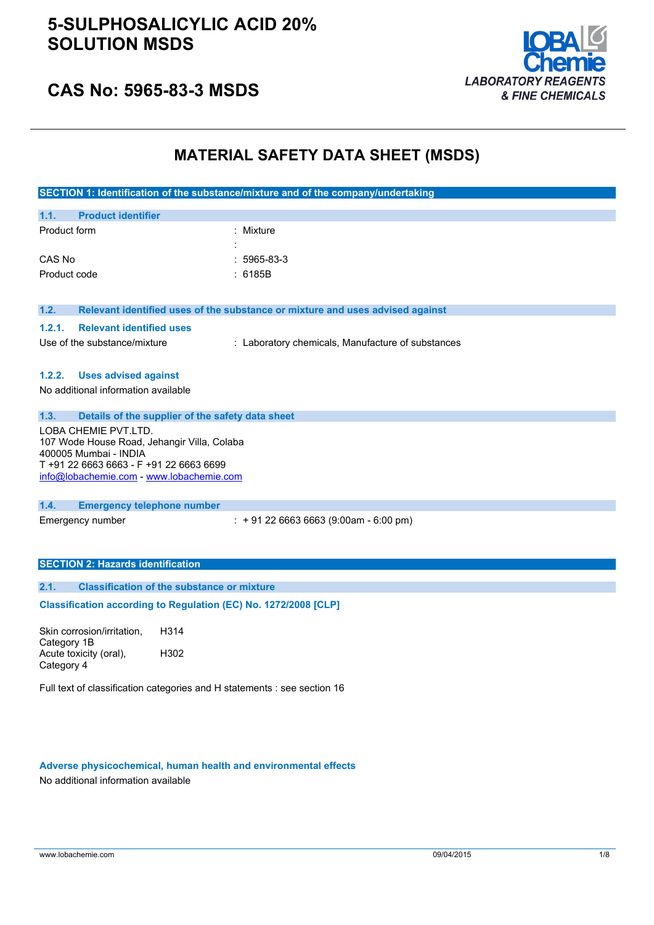

# **CAS No: 5965-83-3 MSDS**

# **MATERIAL SAFETY DATA SHEET (MSDS)**

|                                                                                     | SECTION 1: Identification of the substance/mixture and of the company/undertaking |
|-------------------------------------------------------------------------------------|-----------------------------------------------------------------------------------|
| 1.1.<br><b>Product identifier</b>                                                   |                                                                                   |
| Product form                                                                        | : Mixture                                                                         |
|                                                                                     |                                                                                   |
| CAS No                                                                              | 5965-83-3                                                                         |
| Product code                                                                        | : 6185B                                                                           |
|                                                                                     |                                                                                   |
| 1.2.                                                                                | Relevant identified uses of the substance or mixture and uses advised against     |
| 1.2.1.<br><b>Relevant identified uses</b>                                           |                                                                                   |
| Use of the substance/mixture                                                        | : Laboratory chemicals, Manufacture of substances                                 |
|                                                                                     |                                                                                   |
| 1.2.2.<br><b>Uses advised against</b>                                               |                                                                                   |
| No additional information available                                                 |                                                                                   |
|                                                                                     |                                                                                   |
| 1.3.<br>LOBA CHEMIE PVT.LTD.                                                        | Details of the supplier of the safety data sheet                                  |
| 107 Wode House Road, Jehangir Villa, Colaba                                         |                                                                                   |
| 400005 Mumbai - INDIA                                                               |                                                                                   |
| T +91 22 6663 6663 - F +91 22 6663 6699<br>info@lobachemie.com - www.lobachemie.com |                                                                                   |
|                                                                                     |                                                                                   |
| 1.4.<br><b>Emergency telephone number</b>                                           |                                                                                   |
| Emergency number                                                                    | $: +912266636663(9:00am - 6:00 pm)$                                               |
|                                                                                     |                                                                                   |
|                                                                                     |                                                                                   |
| <b>SECTION 2: Hazards identification</b>                                            |                                                                                   |
| 2.1.                                                                                | <b>Classification of the substance or mixture</b>                                 |
|                                                                                     | Classification according to Regulation (EC) No. 1272/2008 [CLP]                   |
|                                                                                     |                                                                                   |
| Skin corrosion/irritation,                                                          | H314                                                                              |
| Category 1B<br>Acute toxicity (oral),                                               | H302                                                                              |
| Category 4                                                                          |                                                                                   |
|                                                                                     | Full text of classification categories and H statements : see section 16          |
|                                                                                     |                                                                                   |
|                                                                                     |                                                                                   |
|                                                                                     |                                                                                   |

**Adverse physicochemical, human health and environmental effects**

No additional information available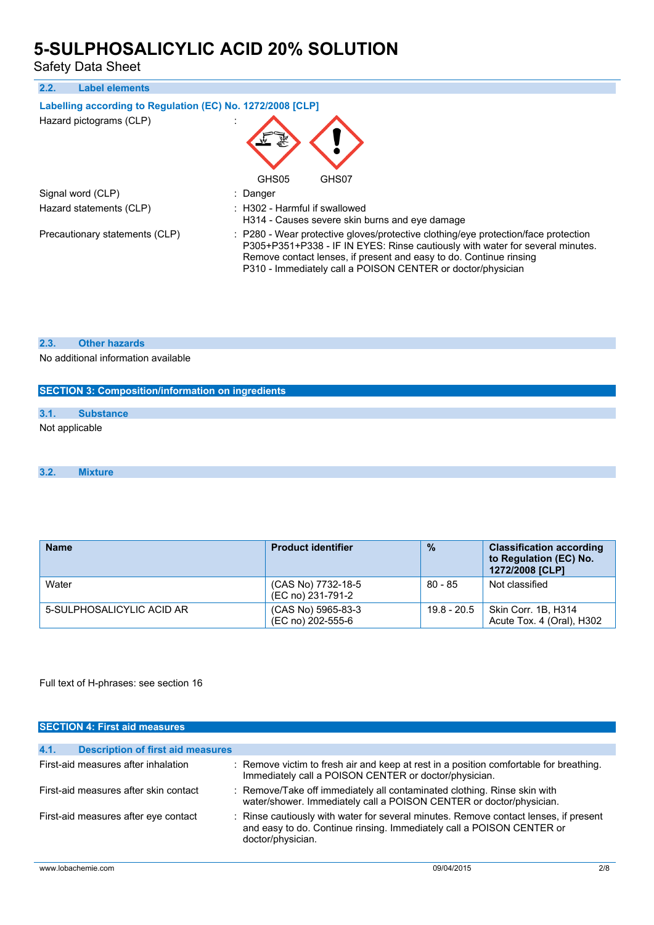Safety Data Sheet

| 2.2. | <b>Label elements</b>                                      |                                                                                                                                                                                                                                                                                                          |
|------|------------------------------------------------------------|----------------------------------------------------------------------------------------------------------------------------------------------------------------------------------------------------------------------------------------------------------------------------------------------------------|
|      | Labelling according to Regulation (EC) No. 1272/2008 [CLP] |                                                                                                                                                                                                                                                                                                          |
|      | Hazard pictograms (CLP)                                    |                                                                                                                                                                                                                                                                                                          |
|      |                                                            | GHS05<br>GHS07                                                                                                                                                                                                                                                                                           |
|      | Signal word (CLP)                                          | : Danger                                                                                                                                                                                                                                                                                                 |
|      | Hazard statements (CLP)                                    | $\therefore$ H302 - Harmful if swallowed<br>H314 - Causes severe skin burns and eye damage                                                                                                                                                                                                               |
|      | Precautionary statements (CLP)                             | : P280 - Wear protective gloves/protective clothing/eye protection/face protection<br>P305+P351+P338 - IF IN EYES: Rinse cautiously with water for several minutes.<br>Remove contact lenses, if present and easy to do. Continue rinsing<br>P310 - Immediately call a POISON CENTER or doctor/physician |

### **2.3. Other hazards**

No additional information available

| <b>SECTION 3: Composition/information on ingredients</b> |                  |  |
|----------------------------------------------------------|------------------|--|
| 3.1.                                                     | <b>Substance</b> |  |
| Not applicable                                           |                  |  |
|                                                          |                  |  |

#### **3.2. Mixture**

| <b>Name</b>               | <b>Product identifier</b>               | $\frac{9}{6}$ | <b>Classification according</b><br>to Regulation (EC) No.<br>1272/2008 [CLP] |
|---------------------------|-----------------------------------------|---------------|------------------------------------------------------------------------------|
| Water                     | (CAS No) 7732-18-5<br>(EC no) 231-791-2 | 80 - 85       | Not classified                                                               |
| 5-SULPHOSALICYLIC ACID AR | (CAS No) 5965-83-3<br>(EC no) 202-555-6 | $19.8 - 20.5$ | Skin Corr. 1B, H314<br>Acute Tox. 4 (Oral), H302                             |

## Full text of H-phrases: see section 16

| <b>SECTION 4: First aid measures</b>             |                                                                                                                                                                                    |
|--------------------------------------------------|------------------------------------------------------------------------------------------------------------------------------------------------------------------------------------|
|                                                  |                                                                                                                                                                                    |
| 4.1.<br><b>Description of first aid measures</b> |                                                                                                                                                                                    |
| First-aid measures after inhalation              | : Remove victim to fresh air and keep at rest in a position comfortable for breathing.<br>Immediately call a POISON CENTER or doctor/physician.                                    |
| First-aid measures after skin contact            | : Remove/Take off immediately all contaminated clothing. Rinse skin with<br>water/shower. Immediately call a POISON CENTER or doctor/physician.                                    |
| First-aid measures after eye contact             | : Rinse cautiously with water for several minutes. Remove contact lenses, if present<br>and easy to do. Continue rinsing. Immediately call a POISON CENTER or<br>doctor/physician. |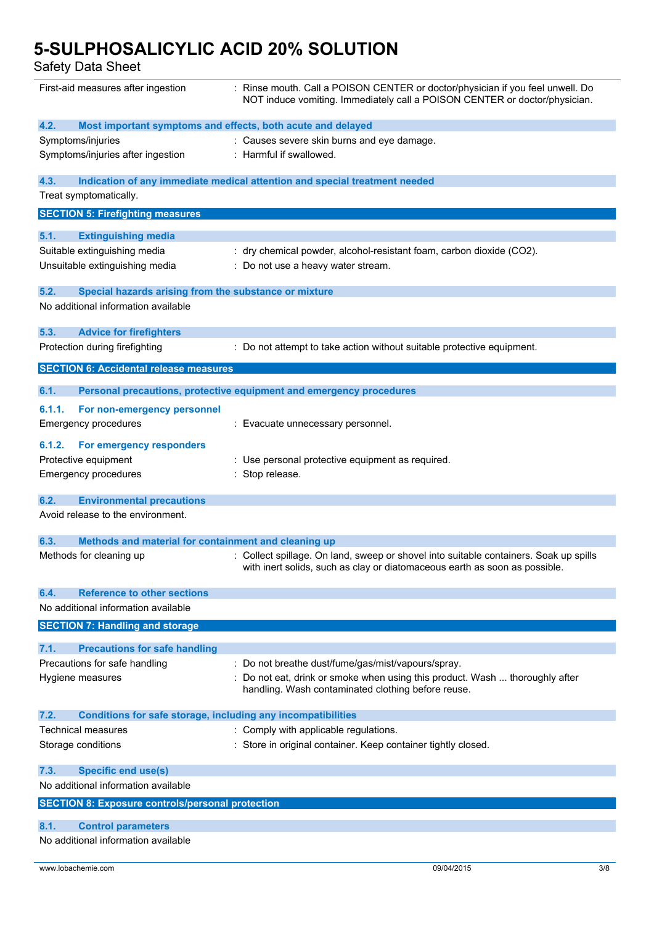Safety Data Sheet

| First-aid measures after ingestion                                          | : Rinse mouth. Call a POISON CENTER or doctor/physician if you feel unwell. Do<br>NOT induce vomiting. Immediately call a POISON CENTER or doctor/physician.        |
|-----------------------------------------------------------------------------|---------------------------------------------------------------------------------------------------------------------------------------------------------------------|
| 4.2.<br>Most important symptoms and effects, both acute and delayed         |                                                                                                                                                                     |
| Symptoms/injuries                                                           | : Causes severe skin burns and eye damage.                                                                                                                          |
| Symptoms/injuries after ingestion                                           | : Harmful if swallowed.                                                                                                                                             |
| 4.3.                                                                        | Indication of any immediate medical attention and special treatment needed                                                                                          |
| Treat symptomatically.                                                      |                                                                                                                                                                     |
| <b>SECTION 5: Firefighting measures</b>                                     |                                                                                                                                                                     |
|                                                                             |                                                                                                                                                                     |
| 5.1.<br><b>Extinguishing media</b>                                          |                                                                                                                                                                     |
| Suitable extinguishing media                                                | dry chemical powder, alcohol-resistant foam, carbon dioxide (CO2).                                                                                                  |
| Unsuitable extinguishing media                                              | : Do not use a heavy water stream.                                                                                                                                  |
| 5.2.<br>Special hazards arising from the substance or mixture               |                                                                                                                                                                     |
| No additional information available                                         |                                                                                                                                                                     |
|                                                                             |                                                                                                                                                                     |
| 5.3.<br><b>Advice for firefighters</b>                                      |                                                                                                                                                                     |
| Protection during firefighting                                              | : Do not attempt to take action without suitable protective equipment.                                                                                              |
| <b>SECTION 6: Accidental release measures</b>                               |                                                                                                                                                                     |
| 6.1.                                                                        | Personal precautions, protective equipment and emergency procedures                                                                                                 |
| 6.1.1.<br>For non-emergency personnel                                       |                                                                                                                                                                     |
| <b>Emergency procedures</b>                                                 | : Evacuate unnecessary personnel.                                                                                                                                   |
| 6.1.2.<br>For emergency responders                                          |                                                                                                                                                                     |
| Protective equipment                                                        | : Use personal protective equipment as required.                                                                                                                    |
| <b>Emergency procedures</b>                                                 | : Stop release.                                                                                                                                                     |
| 6.2.<br><b>Environmental precautions</b>                                    |                                                                                                                                                                     |
| Avoid release to the environment.                                           |                                                                                                                                                                     |
| 6.3.<br>Methods and material for containment and cleaning up                |                                                                                                                                                                     |
| Methods for cleaning up                                                     | : Collect spillage. On land, sweep or shovel into suitable containers. Soak up spills<br>with inert solids, such as clay or diatomaceous earth as soon as possible. |
| <b>Reference to other sections</b><br>6.4.                                  |                                                                                                                                                                     |
| No additional information available                                         |                                                                                                                                                                     |
| <b>SECTION 7: Handling and storage</b>                                      |                                                                                                                                                                     |
| <b>Precautions for safe handling</b><br>7.1.                                |                                                                                                                                                                     |
| Precautions for safe handling                                               | : Do not breathe dust/fume/gas/mist/vapours/spray.                                                                                                                  |
| Hygiene measures                                                            | : Do not eat, drink or smoke when using this product. Wash  thoroughly after<br>handling. Wash contaminated clothing before reuse.                                  |
| 7.2.<br><b>Conditions for safe storage, including any incompatibilities</b> |                                                                                                                                                                     |
| Technical measures                                                          | : Comply with applicable regulations.                                                                                                                               |
| Storage conditions                                                          | : Store in original container. Keep container tightly closed.                                                                                                       |
| <b>Specific end use(s)</b><br>7.3.<br>No additional information available   |                                                                                                                                                                     |
| <b>SECTION 8: Exposure controls/personal protection</b>                     |                                                                                                                                                                     |
| <b>Control parameters</b><br>8.1.                                           |                                                                                                                                                                     |
| No additional information available                                         |                                                                                                                                                                     |
|                                                                             |                                                                                                                                                                     |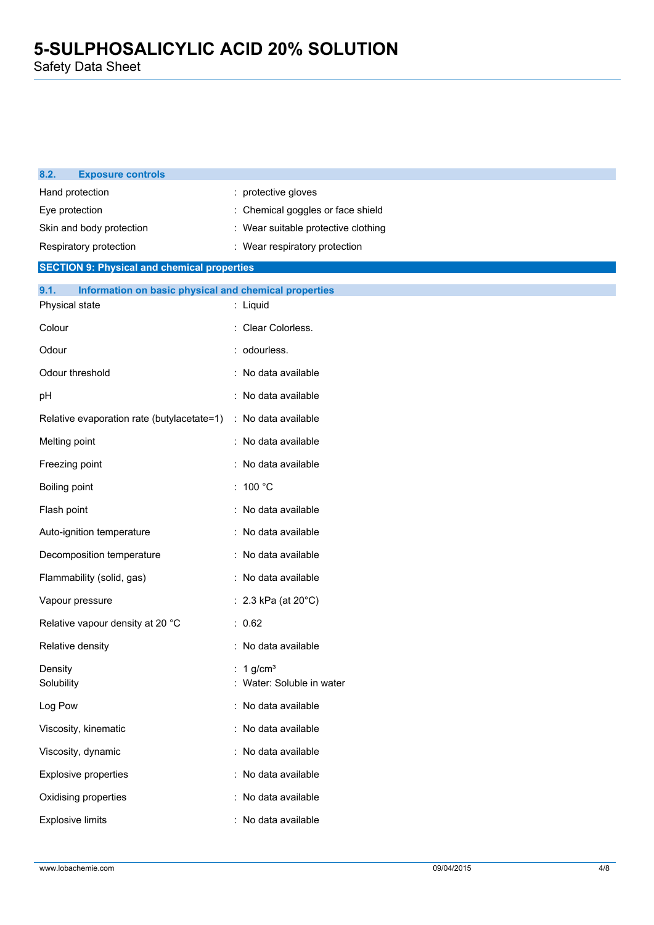Safety Data Sheet

| 8.2.<br><b>Exposure controls</b>                              |                                                    |
|---------------------------------------------------------------|----------------------------------------------------|
| Hand protection                                               | : protective gloves                                |
| Eye protection                                                | : Chemical goggles or face shield                  |
| Skin and body protection                                      | : Wear suitable protective clothing                |
| Respiratory protection                                        | : Wear respiratory protection                      |
| <b>SECTION 9: Physical and chemical properties</b>            |                                                    |
| 9.1.<br>Information on basic physical and chemical properties |                                                    |
| Physical state                                                | : Liquid                                           |
| Colour                                                        | : Clear Colorless.                                 |
| Odour                                                         | : odourless.                                       |
| Odour threshold                                               | : No data available                                |
| pH                                                            | : No data available                                |
| Relative evaporation rate (butylacetate=1)                    | : No data available                                |
| Melting point                                                 | : No data available                                |
| Freezing point                                                | : No data available                                |
| Boiling point                                                 | : 100 $^{\circ}$ C                                 |
| Flash point                                                   | : No data available                                |
| Auto-ignition temperature                                     | : No data available                                |
| Decomposition temperature                                     | : No data available                                |
| Flammability (solid, gas)                                     | : No data available                                |
| Vapour pressure                                               | : 2.3 kPa (at $20^{\circ}$ C)                      |
| Relative vapour density at 20 °C                              | : 0.62                                             |
| Relative density                                              | : No data available                                |
| Density<br>Solubility                                         | : 1 g/cm <sup>3</sup><br>: Water: Soluble in water |
| Log Pow                                                       | : No data available                                |
| Viscosity, kinematic                                          | : No data available                                |
| Viscosity, dynamic                                            | : No data available                                |
| <b>Explosive properties</b>                                   | : No data available                                |
| Oxidising properties                                          | : No data available                                |
| <b>Explosive limits</b>                                       | : No data available                                |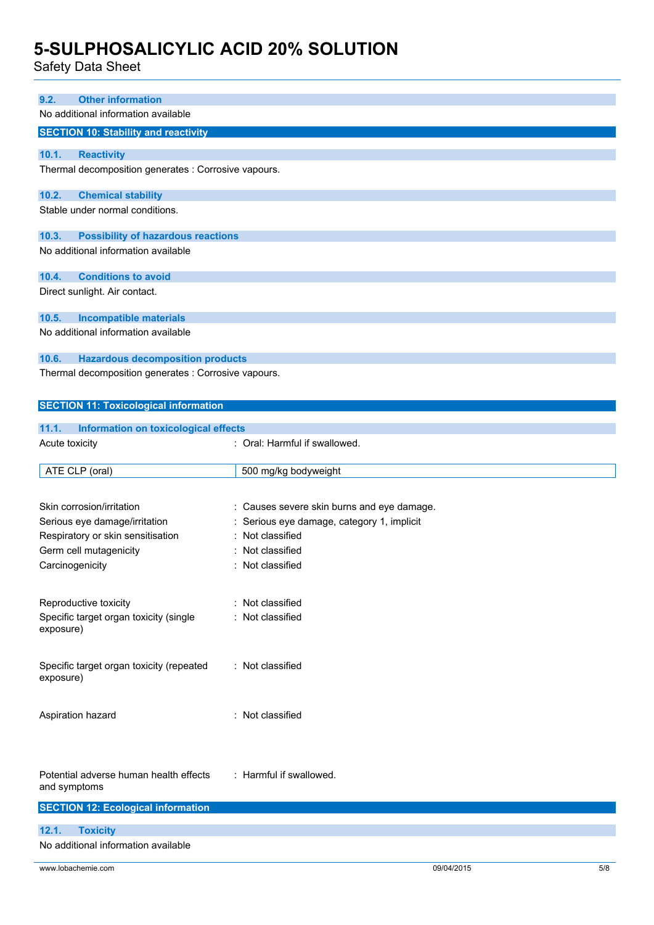Safety Data Sheet

| sarety Data Sheet                                                                  |                                          |
|------------------------------------------------------------------------------------|------------------------------------------|
|                                                                                    |                                          |
| <b>Other information</b><br>9.2.<br>No additional information available            |                                          |
|                                                                                    |                                          |
| <b>SECTION 10: Stability and reactivity</b>                                        |                                          |
| 10.1.<br><b>Reactivity</b><br>Thermal decomposition generates : Corrosive vapours. |                                          |
| 10.2.<br><b>Chemical stability</b>                                                 |                                          |
| Stable under normal conditions.                                                    |                                          |
| <b>Possibility of hazardous reactions</b><br>10.3.                                 |                                          |
| No additional information available                                                |                                          |
| <b>Conditions to avoid</b><br>10.4.                                                |                                          |
| Direct sunlight. Air contact.                                                      |                                          |
|                                                                                    |                                          |
| <b>Incompatible materials</b><br>10.5.                                             |                                          |
| No additional information available                                                |                                          |
| 10.6.<br><b>Hazardous decomposition products</b>                                   |                                          |
| Thermal decomposition generates : Corrosive vapours.                               |                                          |
|                                                                                    |                                          |
| <b>SECTION 11: Toxicological information</b>                                       |                                          |
| 11.1.<br><b>Information on toxicological effects</b>                               |                                          |
| Acute toxicity                                                                     | : Oral: Harmful if swallowed.            |
|                                                                                    |                                          |
| ATE CLP (oral)                                                                     | 500 mg/kg bodyweight                     |
|                                                                                    |                                          |
| Skin corrosion/irritation                                                          | Causes severe skin burns and eye damage. |
| Serious eye damage/irritation                                                      | Serious eye damage, category 1, implicit |
| Respiratory or skin sensitisation<br>Germ cell mutagenicity                        | Not classified<br>Not classified         |
| Carcinogenicity                                                                    | Not classified                           |
|                                                                                    |                                          |
|                                                                                    | : Not classified                         |
| Reproductive toxicity<br>Specific target organ toxicity (single                    | Not classified                           |
| exposure)                                                                          |                                          |
|                                                                                    |                                          |
| Specific target organ toxicity (repeated<br>exposure)                              | : Not classified                         |
| Aspiration hazard                                                                  | : Not classified                         |
| Potential adverse human health effects<br>and symptoms                             | : Harmful if swallowed.                  |
| <b>SECTION 12: Ecological information</b>                                          |                                          |
| 12.1.<br><b>Toxicity</b>                                                           |                                          |

No additional information available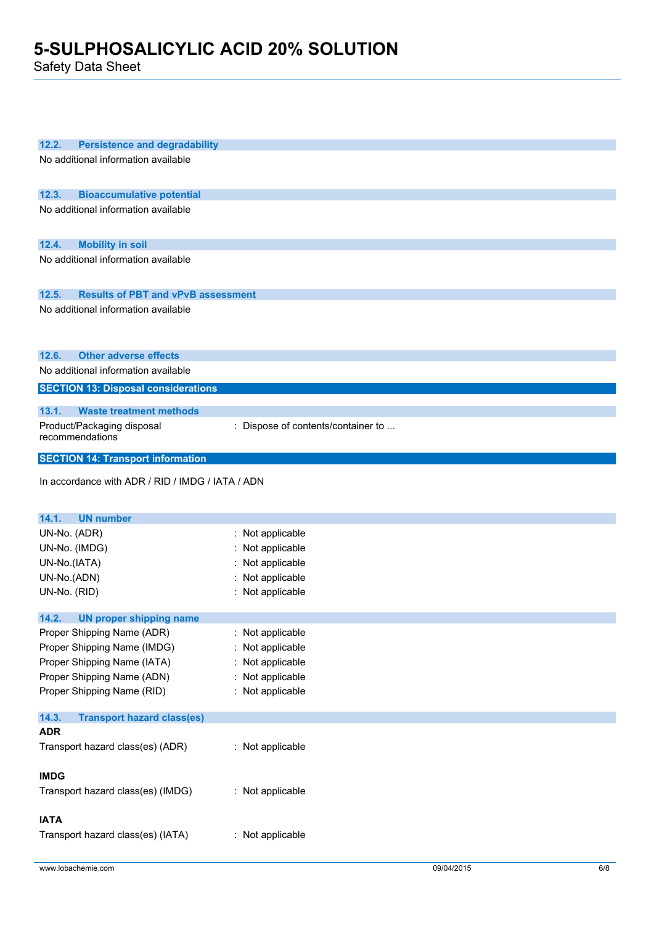Safety Data Sheet

| 12.2.<br><b>Persistence and degradability</b>      |                                    |
|----------------------------------------------------|------------------------------------|
| No additional information available                |                                    |
|                                                    |                                    |
| 12.3.<br><b>Bioaccumulative potential</b>          |                                    |
| No additional information available                |                                    |
|                                                    |                                    |
|                                                    |                                    |
| 12.4.<br><b>Mobility in soil</b>                   |                                    |
| No additional information available                |                                    |
|                                                    |                                    |
| 12.5.<br><b>Results of PBT and vPvB assessment</b> |                                    |
| No additional information available                |                                    |
|                                                    |                                    |
|                                                    |                                    |
| 12.6.<br><b>Other adverse effects</b>              |                                    |
| No additional information available                |                                    |
| <b>SECTION 13: Disposal considerations</b>         |                                    |
| <b>Waste treatment methods</b><br>13.1.            |                                    |
| Product/Packaging disposal                         | : Dispose of contents/container to |
| recommendations                                    |                                    |
|                                                    |                                    |
| <b>SECTION 14: Transport information</b>           |                                    |
| In accordance with ADR / RID / IMDG / IATA / ADN   |                                    |
|                                                    |                                    |
|                                                    |                                    |
|                                                    |                                    |
| 14.1.<br><b>UN number</b>                          |                                    |
| UN-No. (ADR)                                       | : Not applicable                   |
| UN-No. (IMDG)                                      | : Not applicable                   |
| UN-No.(IATA)                                       | Not applicable                     |
| UN-No.(ADN)                                        | : Not applicable                   |
| UN-No. (RID)                                       | : Not applicable                   |
| 14.2.<br><b>UN proper shipping name</b>            |                                    |
| Proper Shipping Name (ADR)                         | : Not applicable                   |
| Proper Shipping Name (IMDG)                        | : Not applicable                   |
| Proper Shipping Name (IATA)                        | : Not applicable                   |
| Proper Shipping Name (ADN)                         | : Not applicable                   |
| Proper Shipping Name (RID)                         | : Not applicable                   |
|                                                    |                                    |
| 14.3.<br><b>Transport hazard class(es)</b>         |                                    |
| <b>ADR</b>                                         |                                    |
| Transport hazard class(es) (ADR)                   | : Not applicable                   |
|                                                    |                                    |
| <b>IMDG</b>                                        |                                    |
| Transport hazard class(es) (IMDG)                  | : Not applicable                   |
|                                                    |                                    |
| <b>IATA</b><br>Transport hazard class(es) (IATA)   | : Not applicable                   |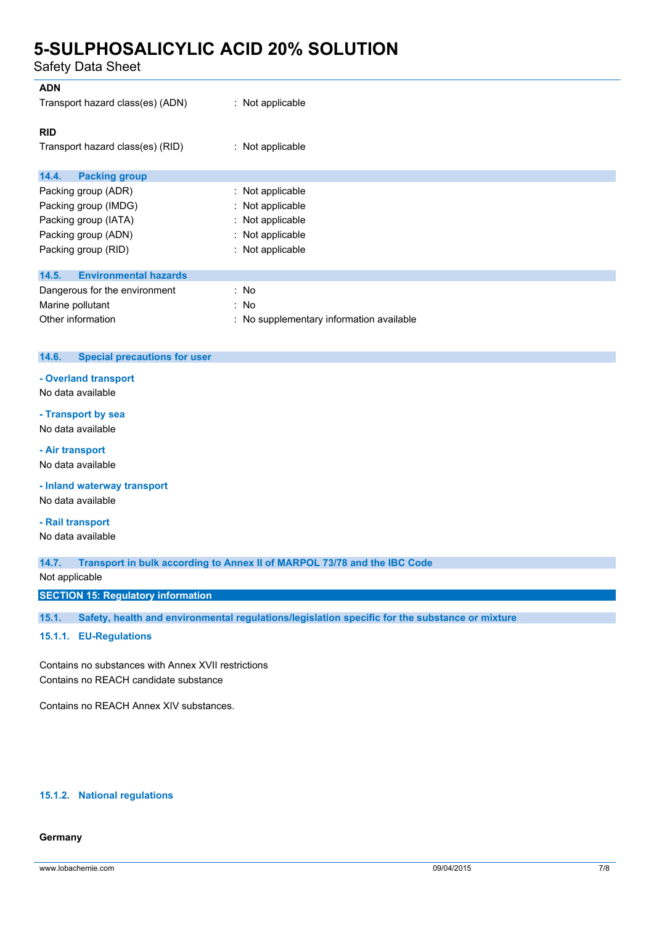Safety Data Sheet

| <b>ADN</b><br>Transport hazard class(es) (ADN) | $:$ Not applicable                       |
|------------------------------------------------|------------------------------------------|
| <b>RID</b><br>Transport hazard class(es) (RID) | $:$ Not applicable                       |
| <b>Packing group</b><br>14.4.                  |                                          |
| Packing group (ADR)                            | : Not applicable                         |
| Packing group (IMDG)                           | : Not applicable                         |
| Packing group (IATA)                           | : Not applicable                         |
| Packing group (ADN)                            | : Not applicable                         |
| Packing group (RID)                            | : Not applicable                         |
| <b>Environmental hazards</b><br>14.5.          |                                          |
| Dangerous for the environment                  | : No                                     |
| Marine pollutant                               | : No                                     |
| Other information                              | : No supplementary information available |

### **14.6. Special precautions for user**

**- Overland transport**

No data available

### **- Transport by sea**

No data available

#### **- Air transport**

No data available

**- Inland waterway transport**

No data available

## **- Rail transport**

No data available

**14.7. Transport in bulk according to Annex II of MARPOL 73/78 and the IBC Code**

### Not applicable

**SECTION 15: Regulatory information**

**15.1. Safety, health and environmental regulations/legislation specific for the substance or mixture**

### **15.1.1. EU-Regulations**

Contains no substances with Annex XVII restrictions Contains no REACH candidate substance

Contains no REACH Annex XIV substances.

#### **15.1.2. National regulations**

#### **Germany**

www.lobachemie.com 09/04/2015 7/8